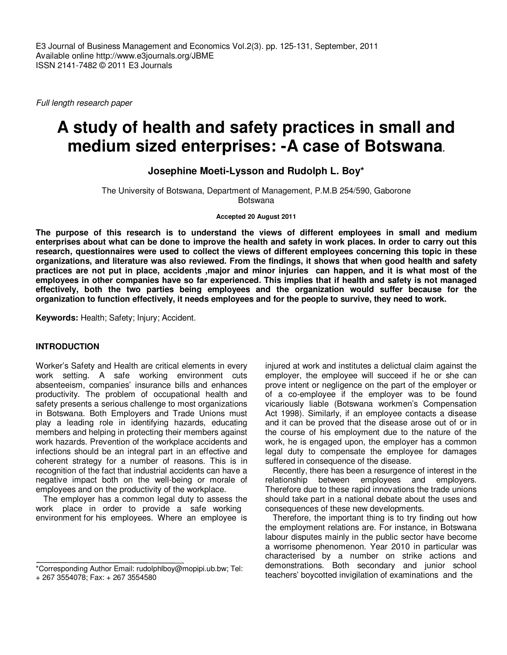Full length research paper

# **A study of health and safety practices in small and medium sized enterprises: -A case of Botswana.**

**Josephine Moeti-Lysson and Rudolph L. Boy\*** 

The University of Botswana, Department of Management, P.M.B 254/590, Gaborone Botswana

#### **Accepted 20 August 2011**

**The purpose of this research is to understand the views of different employees in small and medium enterprises about what can be done to improve the health and safety in work places. In order to carry out this research, questionnaires were used to collect the views of different employees concerning this topic in these organizations, and literature was also reviewed. From the findings, it shows that when good health and safety practices are not put in place, accidents ,major and minor injuries can happen, and it is what most of the employees in other companies have so far experienced. This implies that if health and safety is not managed effectively, both the two parties being employees and the organization would suffer because for the organization to function effectively, it needs employees and for the people to survive, they need to work.** 

**Keywords:** Health; Safety; Injury; Accident.

# **INTRODUCTION**

Worker's Safety and Health are critical elements in every work setting. A safe working environment cuts absenteeism, companies' insurance bills and enhances productivity. The problem of occupational health and safety presents a serious challenge to most organizations in Botswana. Both Employers and Trade Unions must play a leading role in identifying hazards, educating members and helping in protecting their members against work hazards. Prevention of the workplace accidents and infections should be an integral part in an effective and coherent strategy for a number of reasons. This is in recognition of the fact that industrial accidents can have a negative impact both on the well-being or morale of employees and on the productivity of the workplace.

The employer has a common legal duty to assess the work place in order to provide a safe working environment for his employees. Where an employee is

injured at work and institutes a delictual claim against the employer, the employee will succeed if he or she can prove intent or negligence on the part of the employer or of a co-employee if the employer was to be found vicariously liable (Botswana workmen's Compensation Act 1998). Similarly, if an employee contacts a disease and it can be proved that the disease arose out of or in the course of his employment due to the nature of the work, he is engaged upon, the employer has a common legal duty to compensate the employee for damages suffered in consequence of the disease.

Recently, there has been a resurgence of interest in the relationship between employees and employers. Therefore due to these rapid innovations the trade unions should take part in a national debate about the uses and consequences of these new developments.

Therefore, the important thing is to try finding out how the employment relations are. For instance, in Botswana labour disputes mainly in the public sector have become a worrisome phenomenon. Year 2010 in particular was characterised by a number on strike actions and demonstrations. Both secondary and junior school teachers' boycotted invigilation of examinations and the

<sup>\*</sup>Corresponding Author Email: rudolphlboy@mopipi.ub.bw; Tel:

<sup>+ 267 3554078;</sup> Fax: + 267 3554580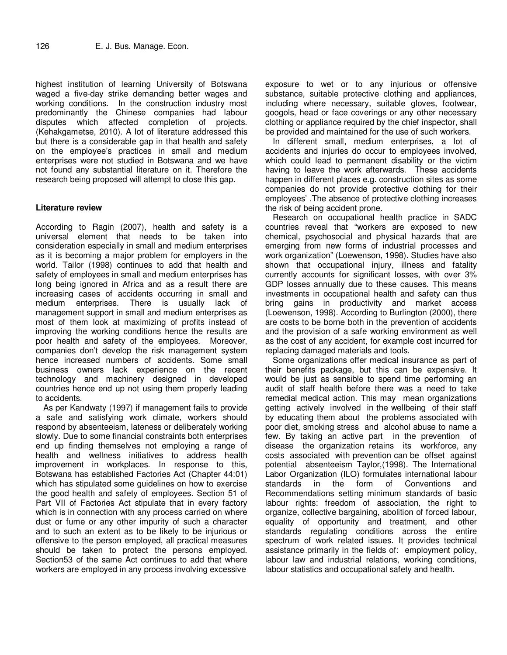highest institution of learning University of Botswana waged a five-day strike demanding better wages and working conditions. In the construction industry most predominantly the Chinese companies had labour disputes which affected completion of projects. (Kehakgametse, 2010). A lot of literature addressed this but there is a considerable gap in that health and safety on the employee's practices in small and medium enterprises were not studied in Botswana and we have not found any substantial literature on it. Therefore the research being proposed will attempt to close this gap.

# **Literature review**

According to Ragin (2007), health and safety is a universal element that needs to be taken into consideration especially in small and medium enterprises as it is becoming a major problem for employers in the world. Tailor (1998) continues to add that health and safety of employees in small and medium enterprises has long being ignored in Africa and as a result there are increasing cases of accidents occurring in small and medium enterprises. There is usually lack of management support in small and medium enterprises as most of them look at maximizing of profits instead of improving the working conditions hence the results are poor health and safety of the employees. Moreover, companies don't develop the risk management system hence increased numbers of accidents. Some small business owners lack experience on the recent technology and machinery designed in developed countries hence end up not using them properly leading to accidents.

As per Kandwaty (1997) if management fails to provide a safe and satisfying work climate, workers should respond by absenteeism, lateness or deliberately working slowly. Due to some financial constraints both enterprises end up finding themselves not employing a range of health and wellness initiatives to address health improvement in workplaces. In response to this, Botswana has established Factories Act (Chapter 44:01) which has stipulated some guidelines on how to exercise the good health and safety of employees. Section 51 of Part VII of Factories Act stipulate that in every factory which is in connection with any process carried on where dust or fume or any other impurity of such a character and to such an extent as to be likely to be injurious or offensive to the person employed, all practical measures should be taken to protect the persons employed. Section53 of the same Act continues to add that where workers are employed in any process involving excessive

exposure to wet or to any injurious or offensive substance, suitable protective clothing and appliances, including where necessary, suitable gloves, footwear, googols, head or face coverings or any other necessary clothing or appliance required by the chief inspector, shall be provided and maintained for the use of such workers.

In different small, medium enterprises, a lot of accidents and injuries do occur to employees involved, which could lead to permanent disability or the victim having to leave the work afterwards. These accidents happen in different places e.g. construction sites as some companies do not provide protective clothing for their employees' .The absence of protective clothing increases the risk of being accident prone.

Research on occupational health practice in SADC countries reveal that "workers are exposed to new chemical, psychosocial and physical hazards that are emerging from new forms of industrial processes and work organization" (Loewenson, 1998). Studies have also shown that occupational injury, illness and fatality currently accounts for significant losses, with over 3% GDP losses annually due to these causes. This means investments in occupational health and safety can thus bring gains in productivity and market access (Loewenson, 1998). According to Burlington (2000), there are costs to be borne both in the prevention of accidents and the provision of a safe working environment as well as the cost of any accident, for example cost incurred for replacing damaged materials and tools.

Some organizations offer medical insurance as part of their benefits package, but this can be expensive. It would be just as sensible to spend time performing an audit of staff health before there was a need to take remedial medical action. This may mean organizations getting actively involved in the wellbeing of their staff by educating them about the problems associated with poor diet, smoking stress and alcohol abuse to name a few. By taking an active part in the prevention of disease the organization retains its workforce, any costs associated with prevention can be offset against potential absenteeism Taylor,(1998). The International Labor Organization (ILO) formulates international labour standards in the form of Conventions and Recommendations setting minimum standards of basic labour rights: freedom of association, the right to organize, collective bargaining, abolition of forced labour, equality of opportunity and treatment, and other standards regulating conditions across the entire spectrum of work related issues. It provides technical assistance primarily in the fields of: employment policy, labour law and industrial relations, working conditions, labour statistics and occupational safety and health.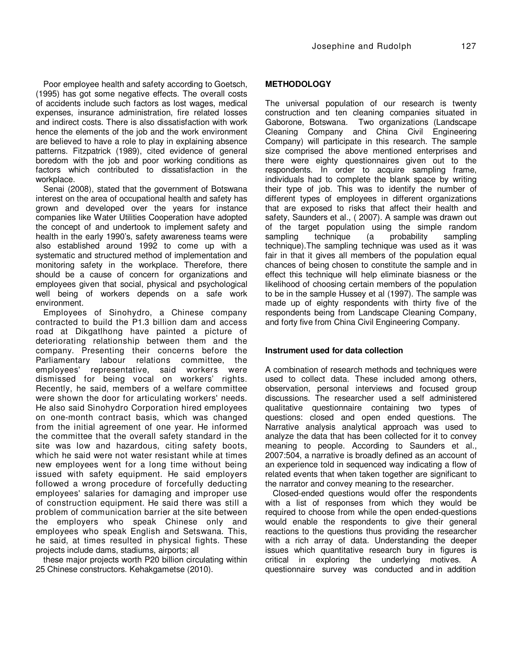Poor employee health and safety according to Goetsch, (1995) has got some negative effects. The overall costs of accidents include such factors as lost wages, medical expenses, insurance administration, fire related losses and indirect costs. There is also dissatisfaction with work hence the elements of the job and the work environment are believed to have a role to play in explaining absence patterns. Fitzpatrick (1989), cited evidence of general boredom with the job and poor working conditions as factors which contributed to dissatisfaction in the workplace.

Senai (2008), stated that the government of Botswana interest on the area of occupational health and safety has grown and developed over the years for instance companies like Water Utilities Cooperation have adopted the concept of and undertook to implement safety and health in the early 1990's, safety awareness teams were also established around 1992 to come up with a systematic and structured method of implementation and monitoring safety in the workplace. Therefore, there should be a cause of concern for organizations and employees given that social, physical and psychological well being of workers depends on a safe work environment.

Employees of Sinohydro, a Chinese company contracted to build the P1.3 billion dam and access road at Dikgatlhong have painted a picture of deteriorating relationship between them and the company. Presenting their concerns before the Parliamentary labour relations committee, the employees' representative, said workers were dismissed for being vocal on workers' rights. Recently, he said, members of a welfare committee were shown the door for articulating workers' needs. He also said Sinohydro Corporation hired employees on one-month contract basis, which was changed from the initial agreement of one year. He informed the committee that the overall safety standard in the site was low and hazardous, citing safety boots, which he said were not water resistant while at times new employees went for a long time without being issued with safety equipment. He said employers followed a wrong procedure of forcefully deducting employees' salaries for damaging and improper use of construction equipment. He said there was still a problem of communication barrier at the site between the employers who speak Chinese only and employees who speak English and Setswana. This, he said, at times resulted in physical fights. These projects include dams, stadiums, airports; all

these major projects worth P20 billion circulating within 25 Chinese constructors. Kehakgametse (2010).

# **METHODOLOGY**

The universal population of our research is twenty construction and ten cleaning companies situated in Gaborone, Botswana. Two organizations (Landscape Cleaning Company and China Civil Engineering Company) will participate in this research. The sample size comprised the above mentioned enterprises and there were eighty questionnaires given out to the respondents. In order to acquire sampling frame, individuals had to complete the blank space by writing their type of job. This was to identify the number of different types of employees in different organizations that are exposed to risks that affect their health and safety, Saunders et al., ( 2007). A sample was drawn out of the target population using the simple random<br>sampling technique (a probability sampling sampling technique (a probability sampling technique).The sampling technique was used as it was fair in that it gives all members of the population equal chances of being chosen to constitute the sample and in effect this technique will help eliminate biasness or the likelihood of choosing certain members of the population to be in the sample Hussey et al (1997). The sample was made up of eighty respondents with thirty five of the respondents being from Landscape Cleaning Company, and forty five from China Civil Engineering Company.

# **Instrument used for data collection**

A combination of research methods and techniques were used to collect data. These included among others, observation, personal interviews and focused group discussions. The researcher used a self administered qualitative questionnaire containing two types of questions: closed and open ended questions. The Narrative analysis analytical approach was used to analyze the data that has been collected for it to convey meaning to people. According to Saunders et al., 2007:504, a narrative is broadly defined as an account of an experience told in sequenced way indicating a flow of related events that when taken together are significant to the narrator and convey meaning to the researcher.

Closed-ended questions would offer the respondents with a list of responses from which they would be required to choose from while the open ended-questions would enable the respondents to give their general reactions to the questions thus providing the researcher with a rich array of data. Understanding the deeper issues which quantitative research bury in figures is critical in exploring the underlying motives. A questionnaire survey was conducted and in addition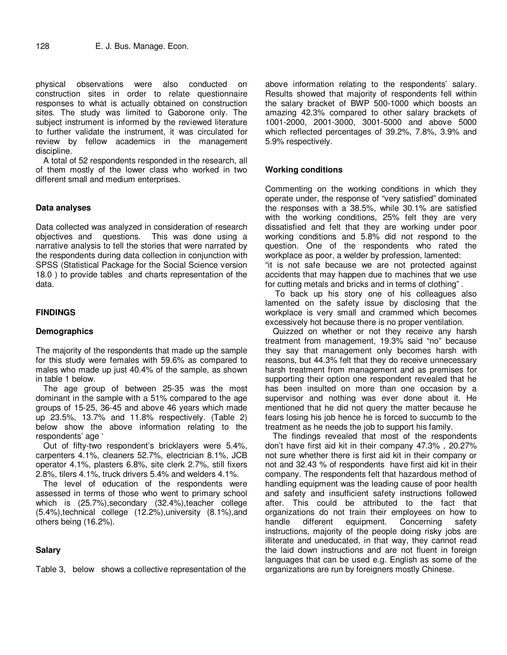physical observations were also conducted on construction sites in order to relate questionnaire responses to what is actually obtained on construction sites. The study was limited to Gaborone only. The subject instrument is informed by the reviewed literature to further validate the instrument, it was circulated for review by fellow academics in the management discipline.

A total of 52 respondents responded in the research, all of them mostly of the lower class who worked in two different small and medium enterprises.

## **Data analyses**

Data collected was analyzed in consideration of research objectives and questions. This was done using a narrative analysis to tell the stories that were narrated by the respondents during data collection in conjunction with SPSS (Statistical Package for the Social Science version 18.0 ) to provide tables and charts representation of the data.

# **FINDINGS**

## **Demographics**

The majority of the respondents that made up the sample for this study were females with 59.6% as compared to males who made up just 40.4% of the sample, as shown in table 1 below.

The age group of between 25-35 was the most dominant in the sample with a 51% compared to the age groups of 15-25, 36-45 and above 46 years which made up 23.5%, 13.7% and 11.8% respectively. (Table 2) below show the above information relating to the respondents' age '

Out of fifty-two respondent's bricklayers were 5.4%, carpenters 4.1%, cleaners 52.7%, electrician 8.1%, JCB operator 4.1%, plasters 6.8%, site clerk 2.7%, still fixers 2.8%, tilers 4.1%, truck drivers 5.4% and welders 4.1%.

The level of education of the respondents were assessed in terms of those who went to primary school which is (25.7%), secondary (32.4%), teacher college (5.4%),technical college (12.2%),university (8.1%),and others being (16.2%).

# **Salary**

Table 3, below shows a collective representation of the

above information relating to the respondents' salary. Results showed that majority of respondents fell within the salary bracket of BWP 500-1000 which boosts an amazing 42.3% compared to other salary brackets of 1001-2000, 2001-3000, 3001-5000 and above 5000 which reflected percentages of 39.2%, 7.8%, 3.9% and 5.9% respectively.

## **Working conditions**

Commenting on the working conditions in which they operate under, the response of "very satisfied" dominated the responses with a 38.5%, while 30.1% are satisfied with the working conditions, 25% felt they are very dissatisfied and felt that they are working under poor working conditions and 5.8% did not respond to the question. One of the respondents who rated the workplace as poor, a welder by profession, lamented: "it is not safe because we are not protected against accidents that may happen due to machines that we use for cutting metals and bricks and in terms of clothing" .

 To back up his story one of his colleagues also lamented on the safety issue by disclosing that the workplace is very small and crammed which becomes excessively hot because there is no proper ventilation.

Quizzed on whether or not they receive any harsh treatment from management, 19.3% said "no" because they say that management only becomes harsh with reasons, but 44.3% felt that they do receive unnecessary harsh treatment from management and as premises for supporting their option one respondent revealed that he has been insulted on more than one occasion by a supervisor and nothing was ever done about it. He mentioned that he did not query the matter because he fears losing his job hence he is forced to succumb to the treatment as he needs the job to support his family.

The findings revealed that most of the respondents don't have first aid kit in their company 47.3% , 20.27% not sure whether there is first aid kit in their company or not and 32.43 % of respondents have first aid kit in their company. The respondents felt that hazardous method of handling equipment was the leading cause of poor health and safety and insufficient safety instructions followed after. This could be attributed to the fact that organizations do not train their employees on how to handle different equipment. Concerning safety instructions, majority of the people doing risky jobs are illiterate and uneducated, in that way, they cannot read the laid down instructions and are not fluent in foreign languages that can be used e.g. English as some of the organizations are run by foreigners mostly Chinese.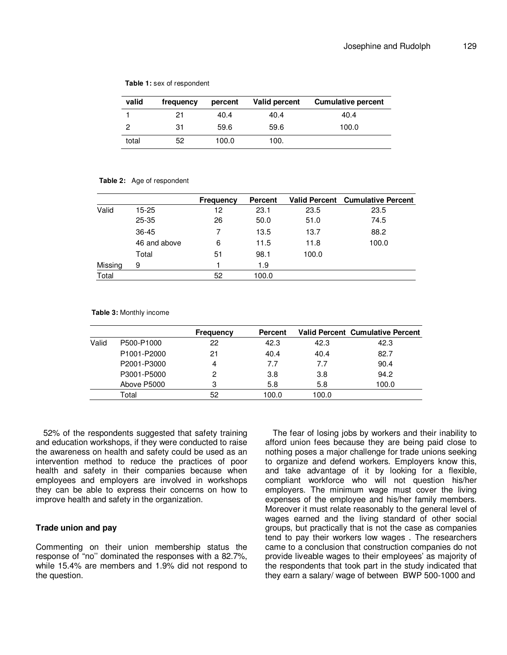| valid | frequency | percent | Valid percent | <b>Cumulative percent</b> |
|-------|-----------|---------|---------------|---------------------------|
|       | 21        | 40.4    | 40.4          | 40.4                      |
| 2     | 31        | 59.6    | 59.6          | 100.0                     |
| total | 52        | 100.0   | 100.          |                           |

**Table 1:** sex of respondent

#### **Table 2:** Age of respondent

|         |              | <b>Frequency</b> | <b>Percent</b> |       | <b>Valid Percent Cumulative Percent</b> |
|---------|--------------|------------------|----------------|-------|-----------------------------------------|
| Valid   | $15 - 25$    | 12               | 23.1           | 23.5  | 23.5                                    |
|         | $25 - 35$    | 26               | 50.0           | 51.0  | 74.5                                    |
|         | 36-45        | 7                | 13.5           | 13.7  | 88.2                                    |
|         | 46 and above | 6                | 11.5           | 11.8  | 100.0                                   |
|         | Total        | 51               | 98.1           | 100.0 |                                         |
| Missing | 9            |                  | 1.9            |       |                                         |
| Total   |              | 52               | 100.0          |       |                                         |

**Table 3:** Monthly income

|       |                                      | <b>Frequency</b> | Percent |       | <b>Valid Percent Cumulative Percent</b> |
|-------|--------------------------------------|------------------|---------|-------|-----------------------------------------|
| Valid | P500-P1000                           | 22               | 42.3    | 42.3  | 42.3                                    |
|       | P <sub>1001</sub> -P <sub>2000</sub> | 21               | 40.4    | 40.4  | 82.7                                    |
|       | P2001-P3000                          | 4                | 7.7     | 7.7   | 90.4                                    |
|       | P3001-P5000                          | 2                | 3.8     | 3.8   | 94.2                                    |
|       | Above P5000                          | 3                | 5.8     | 5.8   | 100.0                                   |
|       | Total                                | 52               | 100.0   | 100.0 |                                         |

52% of the respondents suggested that safety training and education workshops, if they were conducted to raise the awareness on health and safety could be used as an intervention method to reduce the practices of poor health and safety in their companies because when employees and employers are involved in workshops they can be able to express their concerns on how to improve health and safety in the organization.

# **Trade union and pay**

Commenting on their union membership status the response of "no'' dominated the responses with a 82.7%, while 15.4% are members and 1.9% did not respond to the question.

The fear of losing jobs by workers and their inability to afford union fees because they are being paid close to nothing poses a major challenge for trade unions seeking to organize and defend workers. Employers know this, and take advantage of it by looking for a flexible, compliant workforce who will not question his/her employers. The minimum wage must cover the living expenses of the employee and his/her family members. Moreover it must relate reasonably to the general level of wages earned and the living standard of other social groups, but practically that is not the case as companies tend to pay their workers low wages . The researchers came to a conclusion that construction companies do not provide liveable wages to their employees' as majority of the respondents that took part in the study indicated that they earn a salary/ wage of between BWP 500-1000 and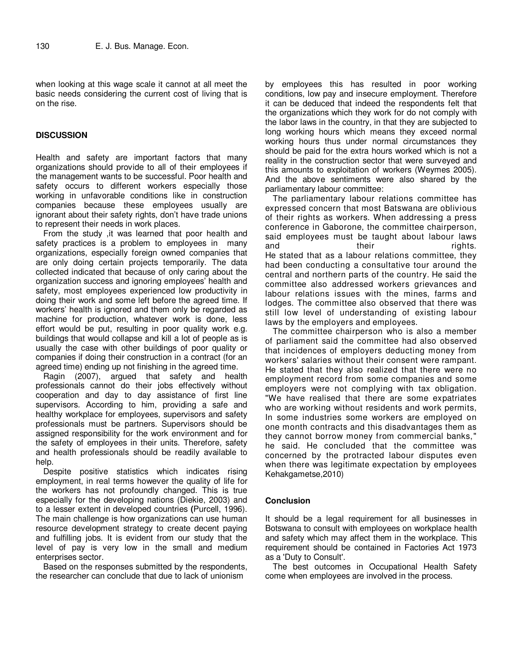when looking at this wage scale it cannot at all meet the basic needs considering the current cost of living that is on the rise.

# **DISCUSSION**

Health and safety are important factors that many organizations should provide to all of their employees if the management wants to be successful. Poor health and safety occurs to different workers especially those working in unfavorable conditions like in construction companies because these employees usually are ignorant about their safety rights, don't have trade unions to represent their needs in work places.

From the study ,it was learned that poor health and safety practices is a problem to employees in many organizations, especially foreign owned companies that are only doing certain projects temporarily. The data collected indicated that because of only caring about the organization success and ignoring employees' health and safety, most employees experienced low productivity in doing their work and some left before the agreed time. If workers' health is ignored and them only be regarded as machine for production, whatever work is done, less effort would be put, resulting in poor quality work e.g. buildings that would collapse and kill a lot of people as is usually the case with other buildings of poor quality or companies if doing their construction in a contract (for an agreed time) ending up not finishing in the agreed time.

Ragin (2007), argued that safety and health professionals cannot do their jobs effectively without cooperation and day to day assistance of first line supervisors. According to him, providing a safe and healthy workplace for employees, supervisors and safety professionals must be partners. Supervisors should be assigned responsibility for the work environment and for the safety of employees in their units. Therefore, safety and health professionals should be readily available to help.

Despite positive statistics which indicates rising employment, in real terms however the quality of life for the workers has not profoundly changed. This is true especially for the developing nations (Diekie, 2003) and to a lesser extent in developed countries **(**Purcell, 1996). The main challenge is how organizations can use human resource development strategy to create decent paying and fulfilling jobs. It is evident from our study that the level of pay is very low in the small and medium enterprises sector.

Based on the responses submitted by the respondents, the researcher can conclude that due to lack of unionism

by employees this has resulted in poor working conditions, low pay and insecure employment. Therefore it can be deduced that indeed the respondents felt that the organizations which they work for do not comply with the labor laws in the country, in that they are subjected to long working hours which means they exceed normal working hours thus under normal circumstances they should be paid for the extra hours worked which is not a reality in the construction sector that were surveyed and this amounts to exploitation of workers (Weymes 2005). And the above sentiments were also shared by the parliamentary labour committee:

The parliamentary labour relations committee has expressed concern that most Batswana are oblivious of their rights as workers. When addressing a press conference in Gaborone, the committee chairperson, said employees must be taught about labour laws and their their rights. He stated that as a labour relations committee, they had been conducting a consultative tour around the central and northern parts of the country. He said the committee also addressed workers grievances and labour relations issues with the mines, farms and lodges. The committee also observed that there was still low level of understanding of existing labour laws by the employers and employees.

The committee chairperson who is also a member of parliament said the committee had also observed that incidences of employers deducting money from workers' salaries without their consent were rampant. He stated that they also realized that there were no employment record from some companies and some employers were not complying with tax obligation. "We have realised that there are some expatriates who are working without residents and work permits, In some industries some workers are employed on one month contracts and this disadvantages them as they cannot borrow money from commercial banks," he said. He concluded that the committee was concerned by the protracted labour disputes even when there was legitimate expectation by employees Kehakgametse,2010)

#### **Conclusion**

It should be a legal requirement for all businesses in Botswana to consult with employees on workplace health and safety which may affect them in the workplace. This requirement should be contained in Factories Act 1973 as a 'Duty to Consult'.

The best outcomes in Occupational Health Safety come when employees are involved in the process.